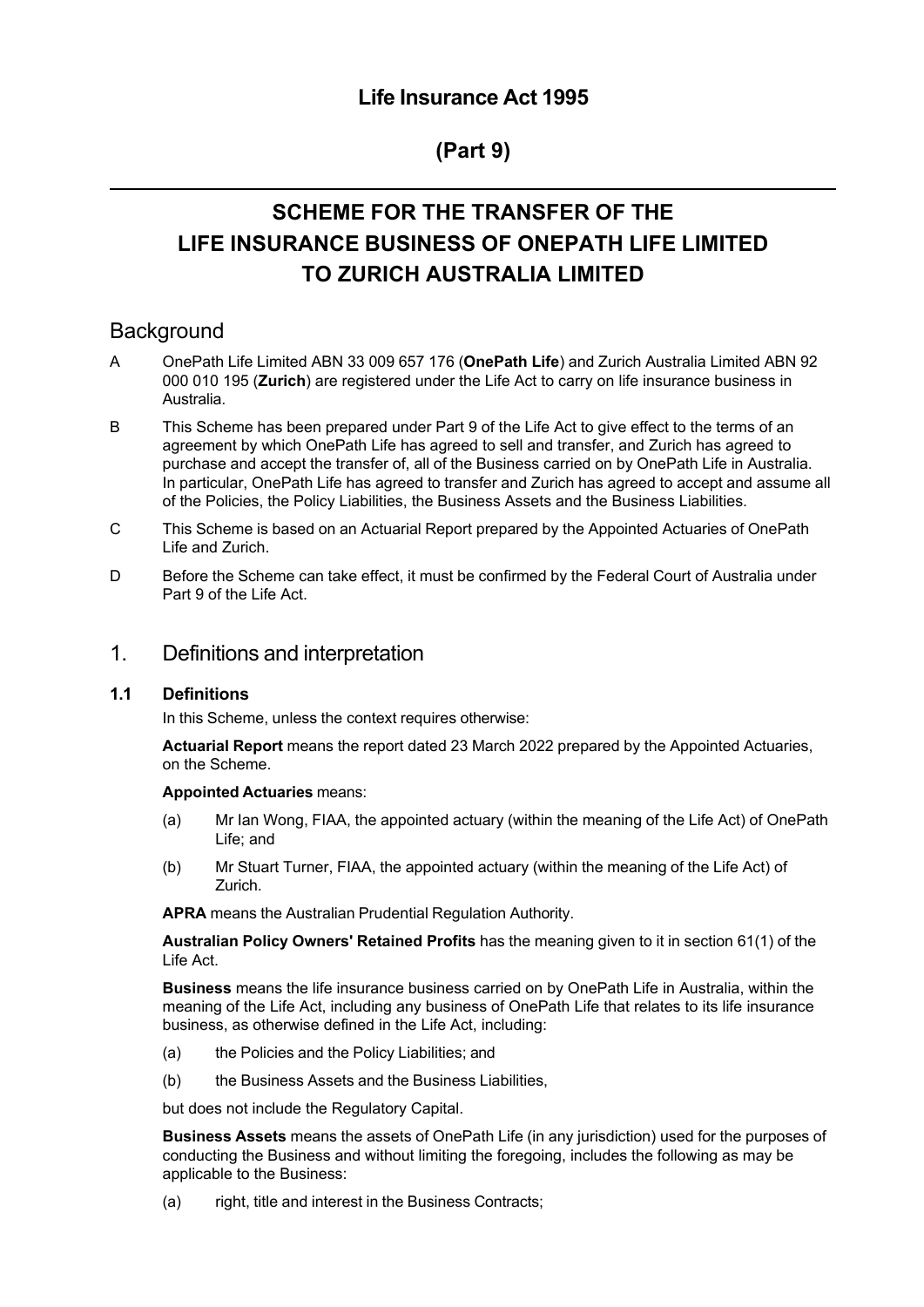# **(Part 9)**

# **SCHEME FOR THE TRANSFER OF THE LIFE INSURANCE BUSINESS OF ONEPATH LIFE LIMITED TO ZURICH AUSTRALIA LIMITED**

# **Background**

- A OnePath Life Limited ABN 33 009 657 176 (**OnePath Life**) and Zurich Australia Limited ABN 92 000 010 195 (**Zurich**) are registered under the Life Act to carry on life insurance business in Australia.
- B This Scheme has been prepared under Part 9 of the Life Act to give effect to the terms of an agreement by which OnePath Life has agreed to sell and transfer, and Zurich has agreed to purchase and accept the transfer of, all of the Business carried on by OnePath Life in Australia. In particular, OnePath Life has agreed to transfer and Zurich has agreed to accept and assume all of the Policies, the Policy Liabilities, the Business Assets and the Business Liabilities.
- C This Scheme is based on an Actuarial Report prepared by the Appointed Actuaries of OnePath Life and Zurich.
- D Before the Scheme can take effect, it must be confirmed by the Federal Court of Australia under Part 9 of the Life Act.
- 1. Definitions and interpretation

### **1.1 Definitions**

In this Scheme, unless the context requires otherwise:

**Actuarial Report** means the report dated 23 March 2022 prepared by the Appointed Actuaries, on the Scheme.

#### **Appointed Actuaries** means:

- (a) Mr Ian Wong, FIAA, the appointed actuary (within the meaning of the Life Act) of OnePath Life; and
- (b) Mr Stuart Turner, FIAA, the appointed actuary (within the meaning of the Life Act) of Zurich.

**APRA** means the Australian Prudential Regulation Authority.

**Australian Policy Owners' Retained Profits** has the meaning given to it in section 61(1) of the Life Act.

**Business** means the life insurance business carried on by OnePath Life in Australia, within the meaning of the Life Act, including any business of OnePath Life that relates to its life insurance business, as otherwise defined in the Life Act, including:

- (a) the Policies and the Policy Liabilities; and
- (b) the Business Assets and the Business Liabilities,

but does not include the Regulatory Capital.

**Business Assets** means the assets of OnePath Life (in any jurisdiction) used for the purposes of conducting the Business and without limiting the foregoing, includes the following as may be applicable to the Business:

(a) right, title and interest in the Business Contracts;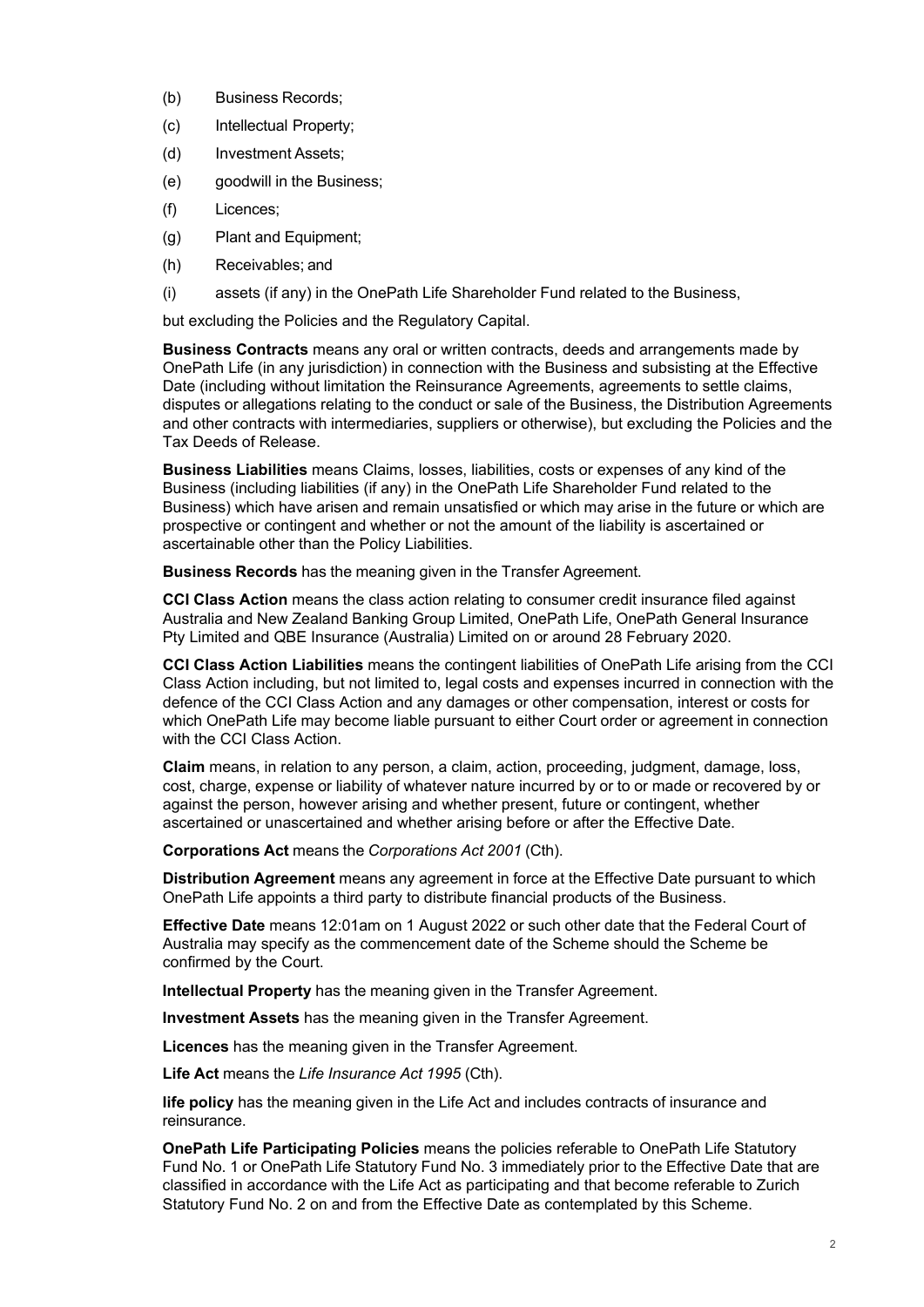- (b) Business Records;
- (c) Intellectual Property;
- (d) Investment Assets;
- (e) goodwill in the Business;
- (f) Licences;
- (g) Plant and Equipment;
- (h) Receivables; and
- (i) assets (if any) in the OnePath Life Shareholder Fund related to the Business,

but excluding the Policies and the Regulatory Capital.

**Business Contracts** means any oral or written contracts, deeds and arrangements made by OnePath Life (in any jurisdiction) in connection with the Business and subsisting at the Effective Date (including without limitation the Reinsurance Agreements, agreements to settle claims, disputes or allegations relating to the conduct or sale of the Business, the Distribution Agreements and other contracts with intermediaries, suppliers or otherwise), but excluding the Policies and the Tax Deeds of Release.

**Business Liabilities** means Claims, losses, liabilities, costs or expenses of any kind of the Business (including liabilities (if any) in the OnePath Life Shareholder Fund related to the Business) which have arisen and remain unsatisfied or which may arise in the future or which are prospective or contingent and whether or not the amount of the liability is ascertained or ascertainable other than the Policy Liabilities.

**Business Records** has the meaning given in the Transfer Agreement.

**CCI Class Action** means the class action relating to consumer credit insurance filed against Australia and New Zealand Banking Group Limited, OnePath Life, OnePath General Insurance Pty Limited and QBE Insurance (Australia) Limited on or around 28 February 2020.

**CCI Class Action Liabilities** means the contingent liabilities of OnePath Life arising from the CCI Class Action including, but not limited to, legal costs and expenses incurred in connection with the defence of the CCI Class Action and any damages or other compensation, interest or costs for which OnePath Life may become liable pursuant to either Court order or agreement in connection with the CCI Class Action.

**Claim** means, in relation to any person, a claim, action, proceeding, judgment, damage, loss, cost, charge, expense or liability of whatever nature incurred by or to or made or recovered by or against the person, however arising and whether present, future or contingent, whether ascertained or unascertained and whether arising before or after the Effective Date.

**Corporations Act** means the *Corporations Act 2001* (Cth).

**Distribution Agreement** means any agreement in force at the Effective Date pursuant to which OnePath Life appoints a third party to distribute financial products of the Business.

**Effective Date** means 12:01am on 1 August 2022 or such other date that the Federal Court of Australia may specify as the commencement date of the Scheme should the Scheme be confirmed by the Court.

**Intellectual Property** has the meaning given in the Transfer Agreement.

**Investment Assets** has the meaning given in the Transfer Agreement.

**Licences** has the meaning given in the Transfer Agreement.

**Life Act** means the *Life Insurance Act 1995* (Cth).

**life policy** has the meaning given in the Life Act and includes contracts of insurance and reinsurance.

**OnePath Life Participating Policies** means the policies referable to OnePath Life Statutory Fund No. 1 or OnePath Life Statutory Fund No. 3 immediately prior to the Effective Date that are classified in accordance with the Life Act as participating and that become referable to Zurich Statutory Fund No. 2 on and from the Effective Date as contemplated by this Scheme.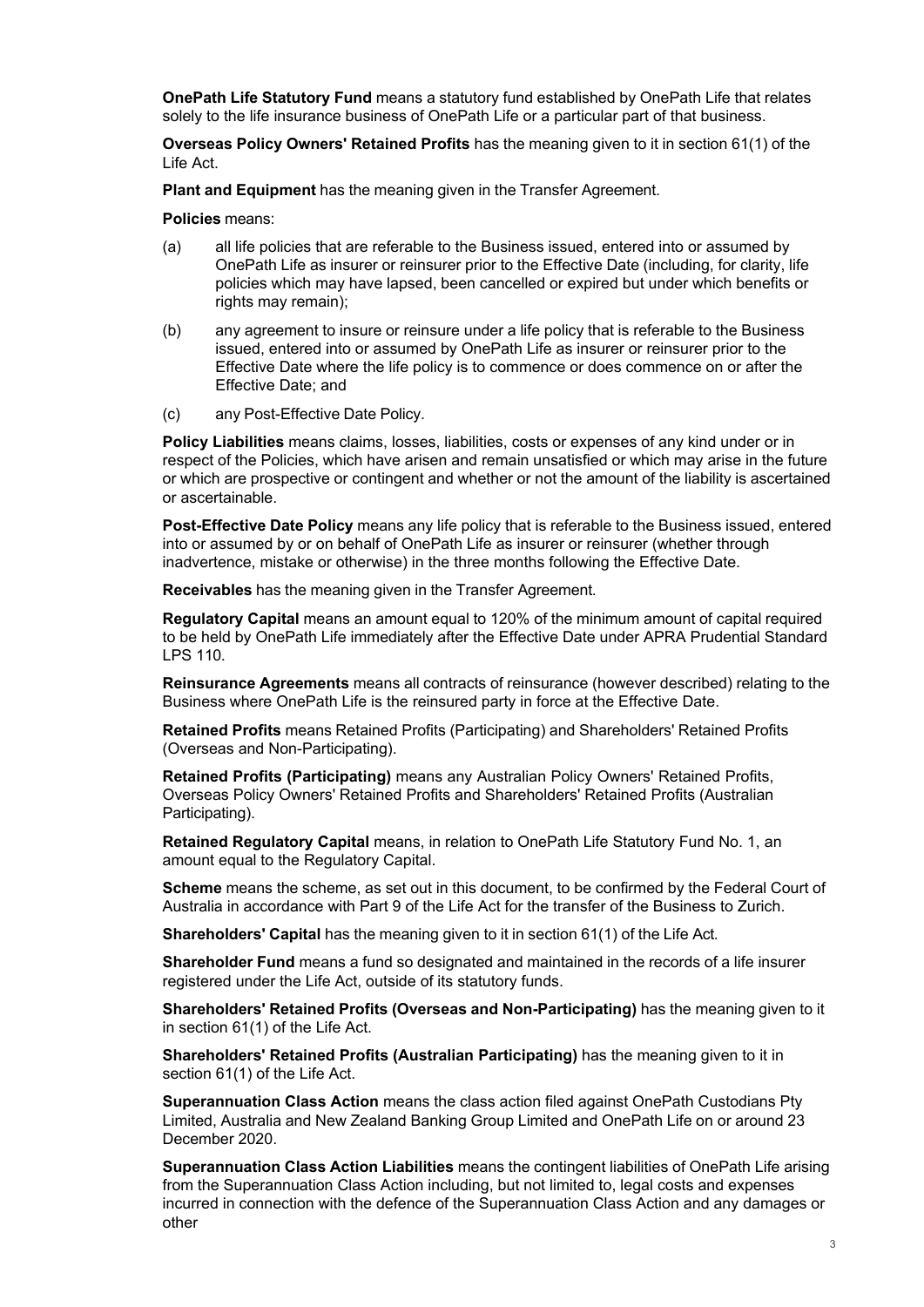**OnePath Life Statutory Fund** means a statutory fund established by OnePath Life that relates solely to the life insurance business of OnePath Life or a particular part of that business.

**Overseas Policy Owners' Retained Profits** has the meaning given to it in section 61(1) of the Life Act.

**Plant and Equipment** has the meaning given in the Transfer Agreement.

**Policies** means:

- (a) all life policies that are referable to the Business issued, entered into or assumed by OnePath Life as insurer or reinsurer prior to the Effective Date (including, for clarity, life policies which may have lapsed, been cancelled or expired but under which benefits or rights may remain);
- (b) any agreement to insure or reinsure under a life policy that is referable to the Business issued, entered into or assumed by OnePath Life as insurer or reinsurer prior to the Effective Date where the life policy is to commence or does commence on or after the Effective Date; and
- (c) any Post-Effective Date Policy.

**Policy Liabilities** means claims, losses, liabilities, costs or expenses of any kind under or in respect of the Policies, which have arisen and remain unsatisfied or which may arise in the future or which are prospective or contingent and whether or not the amount of the liability is ascertained or ascertainable.

**Post-Effective Date Policy** means any life policy that is referable to the Business issued, entered into or assumed by or on behalf of OnePath Life as insurer or reinsurer (whether through inadvertence, mistake or otherwise) in the three months following the Effective Date.

**Receivables** has the meaning given in the Transfer Agreement.

**Regulatory Capital** means an amount equal to 120% of the minimum amount of capital required to be held by OnePath Life immediately after the Effective Date under APRA Prudential Standard LPS 110.

**Reinsurance Agreements** means all contracts of reinsurance (however described) relating to the Business where OnePath Life is the reinsured party in force at the Effective Date.

**Retained Profits** means Retained Profits (Participating) and Shareholders' Retained Profits (Overseas and Non-Participating).

**Retained Profits (Participating)** means any Australian Policy Owners' Retained Profits, Overseas Policy Owners' Retained Profits and Shareholders' Retained Profits (Australian Participating).

**Retained Regulatory Capital** means, in relation to OnePath Life Statutory Fund No. 1, an amount equal to the Regulatory Capital.

**Scheme** means the scheme, as set out in this document, to be confirmed by the Federal Court of Australia in accordance with Part 9 of the Life Act for the transfer of the Business to Zurich.

**Shareholders' Capital** has the meaning given to it in section 61(1) of the Life Act.

**Shareholder Fund** means a fund so designated and maintained in the records of a life insurer registered under the Life Act, outside of its statutory funds.

**Shareholders' Retained Profits (Overseas and Non-Participating)** has the meaning given to it in section 61(1) of the Life Act.

**Shareholders' Retained Profits (Australian Participating)** has the meaning given to it in section 61(1) of the Life Act.

**Superannuation Class Action** means the class action filed against OnePath Custodians Pty Limited, Australia and New Zealand Banking Group Limited and OnePath Life on or around 23 December 2020.

**Superannuation Class Action Liabilities** means the contingent liabilities of OnePath Life arising from the Superannuation Class Action including, but not limited to, legal costs and expenses incurred in connection with the defence of the Superannuation Class Action and any damages or other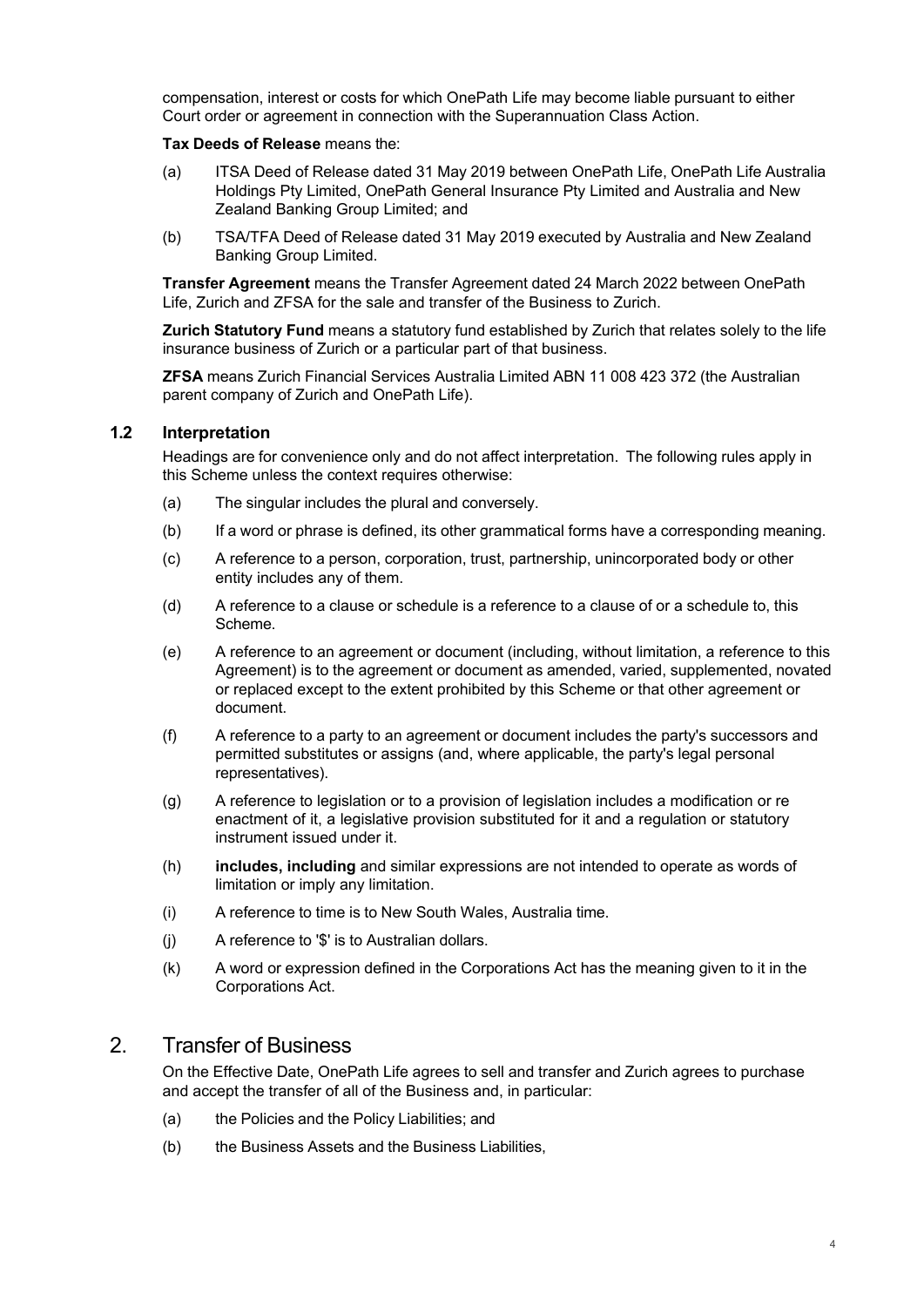compensation, interest or costs for which OnePath Life may become liable pursuant to either Court order or agreement in connection with the Superannuation Class Action.

#### **Tax Deeds of Release** means the:

- (a) ITSA Deed of Release dated 31 May 2019 between OnePath Life, OnePath Life Australia Holdings Pty Limited, OnePath General Insurance Pty Limited and Australia and New Zealand Banking Group Limited; and
- (b) TSA/TFA Deed of Release dated 31 May 2019 executed by Australia and New Zealand Banking Group Limited.

**Transfer Agreement** means the Transfer Agreement dated 24 March 2022 between OnePath Life, Zurich and ZFSA for the sale and transfer of the Business to Zurich.

**Zurich Statutory Fund** means a statutory fund established by Zurich that relates solely to the life insurance business of Zurich or a particular part of that business.

**ZFSA** means Zurich Financial Services Australia Limited ABN 11 008 423 372 (the Australian parent company of Zurich and OnePath Life).

#### **1.2 Interpretation**

Headings are for convenience only and do not affect interpretation. The following rules apply in this Scheme unless the context requires otherwise:

- (a) The singular includes the plural and conversely.
- (b) If a word or phrase is defined, its other grammatical forms have a corresponding meaning.
- (c) A reference to a person, corporation, trust, partnership, unincorporated body or other entity includes any of them.
- (d) A reference to a clause or schedule is a reference to a clause of or a schedule to, this Scheme.
- (e) A reference to an agreement or document (including, without limitation, a reference to this Agreement) is to the agreement or document as amended, varied, supplemented, novated or replaced except to the extent prohibited by this Scheme or that other agreement or document.
- (f) A reference to a party to an agreement or document includes the party's successors and permitted substitutes or assigns (and, where applicable, the party's legal personal representatives).
- (g) A reference to legislation or to a provision of legislation includes a modification or re enactment of it, a legislative provision substituted for it and a regulation or statutory instrument issued under it.
- (h) **includes, including** and similar expressions are not intended to operate as words of limitation or imply any limitation.
- (i) A reference to time is to New South Wales, Australia time.
- (j) A reference to '\$' is to Australian dollars.
- (k) A word or expression defined in the Corporations Act has the meaning given to it in the Corporations Act.

# 2. Transfer of Business

On the Effective Date, OnePath Life agrees to sell and transfer and Zurich agrees to purchase and accept the transfer of all of the Business and, in particular:

- (a) the Policies and the Policy Liabilities; and
- (b) the Business Assets and the Business Liabilities,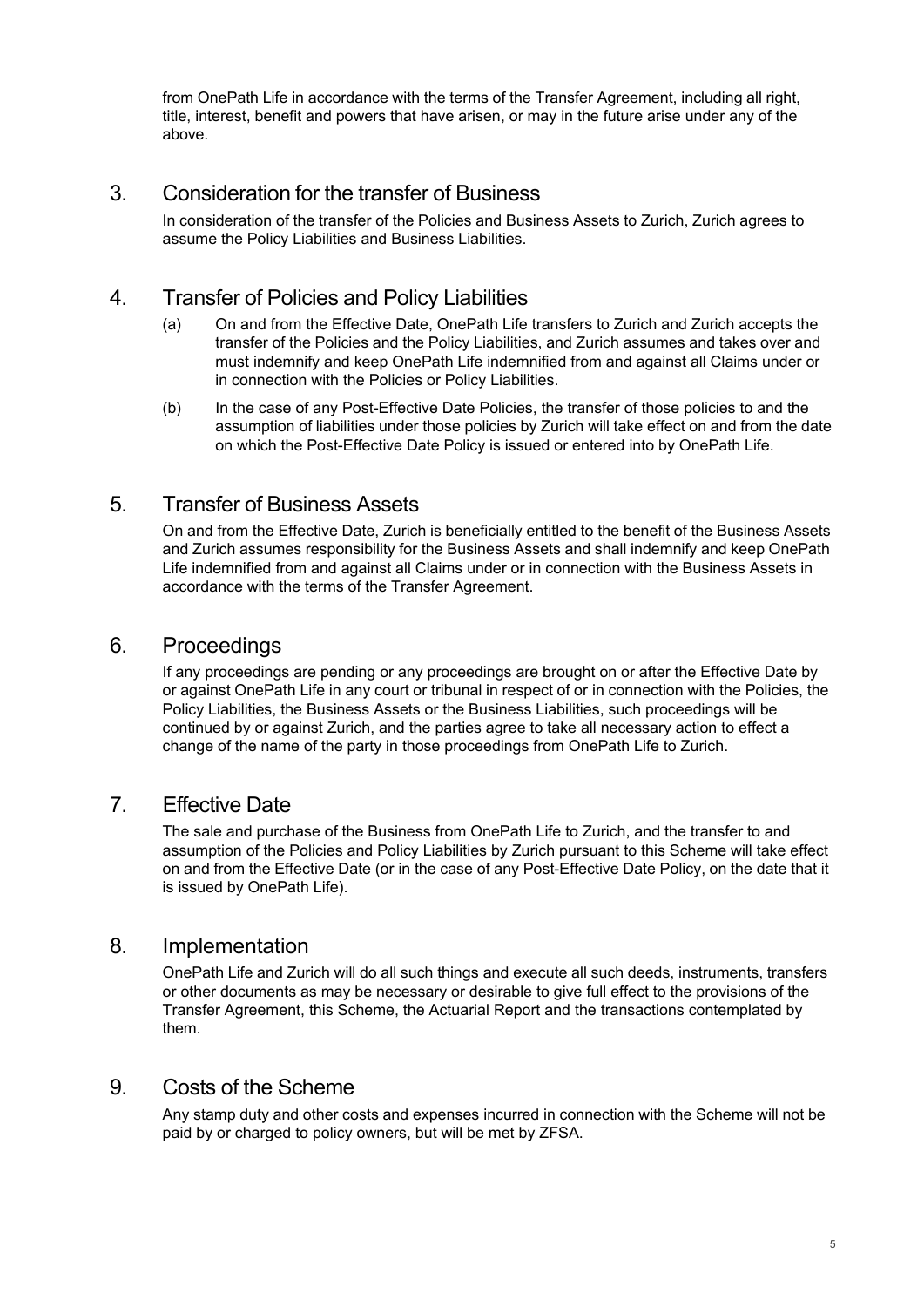from OnePath Life in accordance with the terms of the Transfer Agreement, including all right, title, interest, benefit and powers that have arisen, or may in the future arise under any of the above.

# 3. Consideration for the transfer of Business

In consideration of the transfer of the Policies and Business Assets to Zurich, Zurich agrees to assume the Policy Liabilities and Business Liabilities.

# 4. Transfer of Policies and Policy Liabilities

- (a) On and from the Effective Date, OnePath Life transfers to Zurich and Zurich accepts the transfer of the Policies and the Policy Liabilities, and Zurich assumes and takes over and must indemnify and keep OnePath Life indemnified from and against all Claims under or in connection with the Policies or Policy Liabilities.
- (b) In the case of any Post-Effective Date Policies, the transfer of those policies to and the assumption of liabilities under those policies by Zurich will take effect on and from the date on which the Post-Effective Date Policy is issued or entered into by OnePath Life.

# 5. Transfer of Business Assets

On and from the Effective Date, Zurich is beneficially entitled to the benefit of the Business Assets and Zurich assumes responsibility for the Business Assets and shall indemnify and keep OnePath Life indemnified from and against all Claims under or in connection with the Business Assets in accordance with the terms of the Transfer Agreement.

# 6. Proceedings

If any proceedings are pending or any proceedings are brought on or after the Effective Date by or against OnePath Life in any court or tribunal in respect of or in connection with the Policies, the Policy Liabilities, the Business Assets or the Business Liabilities, such proceedings will be continued by or against Zurich, and the parties agree to take all necessary action to effect a change of the name of the party in those proceedings from OnePath Life to Zurich.

# 7. Effective Date

The sale and purchase of the Business from OnePath Life to Zurich, and the transfer to and assumption of the Policies and Policy Liabilities by Zurich pursuant to this Scheme will take effect on and from the Effective Date (or in the case of any Post-Effective Date Policy, on the date that it is issued by OnePath Life).

# 8. Implementation

OnePath Life and Zurich will do all such things and execute all such deeds, instruments, transfers or other documents as may be necessary or desirable to give full effect to the provisions of the Transfer Agreement, this Scheme, the Actuarial Report and the transactions contemplated by them.

# 9. Costs of the Scheme

Any stamp duty and other costs and expenses incurred in connection with the Scheme will not be paid by or charged to policy owners, but will be met by ZFSA.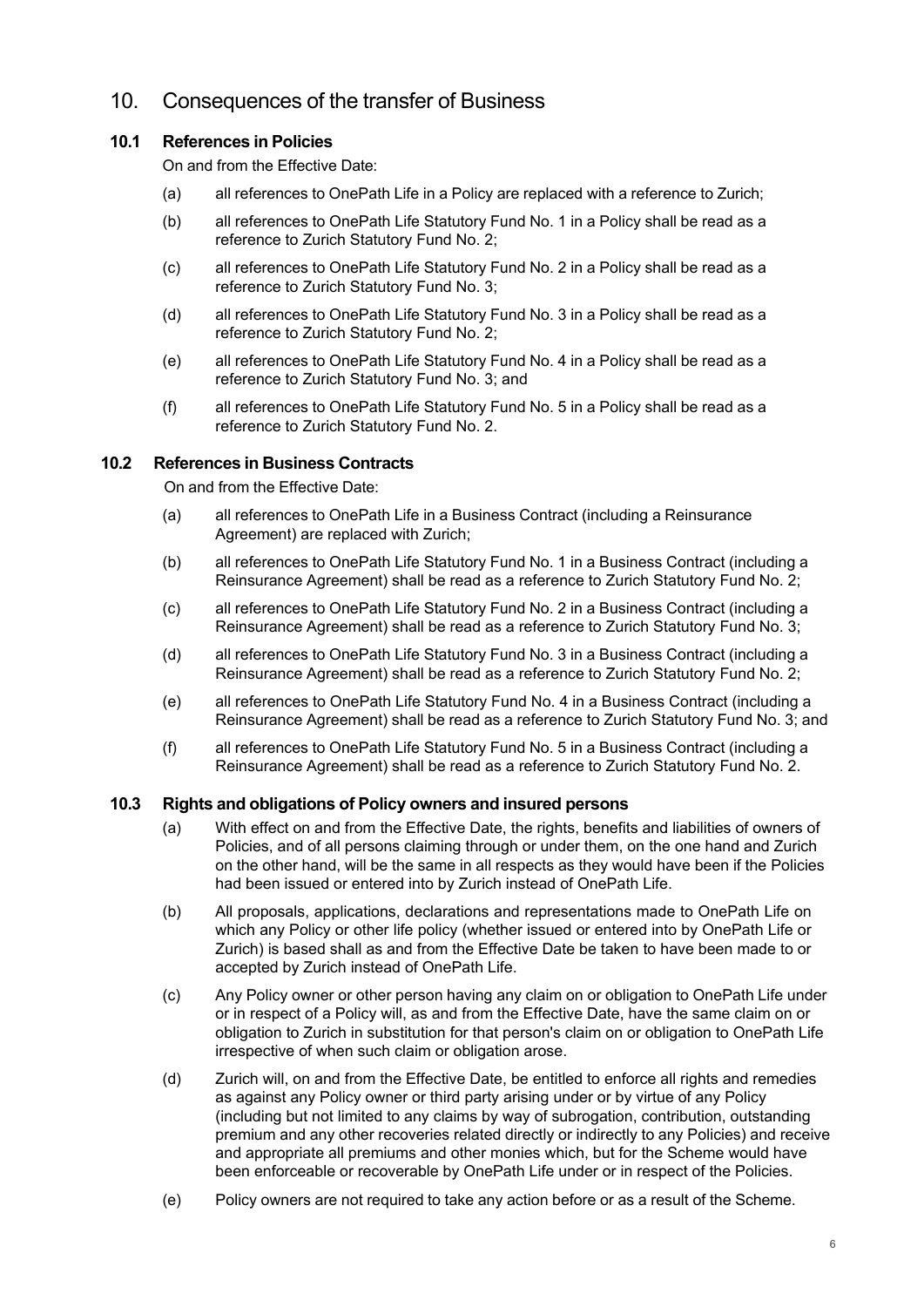# 10. Consequences of the transfer of Business

### **10.1 References in Policies**

On and from the Effective Date:

- (a) all references to OnePath Life in a Policy are replaced with a reference to Zurich;
- (b) all references to OnePath Life Statutory Fund No. 1 in a Policy shall be read as a reference to Zurich Statutory Fund No. 2;
- (c) all references to OnePath Life Statutory Fund No. 2 in a Policy shall be read as a reference to Zurich Statutory Fund No. 3;
- (d) all references to OnePath Life Statutory Fund No. 3 in a Policy shall be read as a reference to Zurich Statutory Fund No. 2;
- (e) all references to OnePath Life Statutory Fund No. 4 in a Policy shall be read as a reference to Zurich Statutory Fund No. 3; and
- (f) all references to OnePath Life Statutory Fund No. 5 in a Policy shall be read as a reference to Zurich Statutory Fund No. 2.

#### **10.2 References in Business Contracts**

On and from the Effective Date:

- (a) all references to OnePath Life in a Business Contract (including a Reinsurance Agreement) are replaced with Zurich;
- (b) all references to OnePath Life Statutory Fund No. 1 in a Business Contract (including a Reinsurance Agreement) shall be read as a reference to Zurich Statutory Fund No. 2;
- (c) all references to OnePath Life Statutory Fund No. 2 in a Business Contract (including a Reinsurance Agreement) shall be read as a reference to Zurich Statutory Fund No. 3;
- (d) all references to OnePath Life Statutory Fund No. 3 in a Business Contract (including a Reinsurance Agreement) shall be read as a reference to Zurich Statutory Fund No. 2;
- (e) all references to OnePath Life Statutory Fund No. 4 in a Business Contract (including a Reinsurance Agreement) shall be read as a reference to Zurich Statutory Fund No. 3; and
- (f) all references to OnePath Life Statutory Fund No. 5 in a Business Contract (including a Reinsurance Agreement) shall be read as a reference to Zurich Statutory Fund No. 2.

#### **10.3 Rights and obligations of Policy owners and insured persons**

- (a) With effect on and from the Effective Date, the rights, benefits and liabilities of owners of Policies, and of all persons claiming through or under them, on the one hand and Zurich on the other hand, will be the same in all respects as they would have been if the Policies had been issued or entered into by Zurich instead of OnePath Life.
- (b) All proposals, applications, declarations and representations made to OnePath Life on which any Policy or other life policy (whether issued or entered into by OnePath Life or Zurich) is based shall as and from the Effective Date be taken to have been made to or accepted by Zurich instead of OnePath Life.
- (c) Any Policy owner or other person having any claim on or obligation to OnePath Life under or in respect of a Policy will, as and from the Effective Date, have the same claim on or obligation to Zurich in substitution for that person's claim on or obligation to OnePath Life irrespective of when such claim or obligation arose.
- (d) Zurich will, on and from the Effective Date, be entitled to enforce all rights and remedies as against any Policy owner or third party arising under or by virtue of any Policy (including but not limited to any claims by way of subrogation, contribution, outstanding premium and any other recoveries related directly or indirectly to any Policies) and receive and appropriate all premiums and other monies which, but for the Scheme would have been enforceable or recoverable by OnePath Life under or in respect of the Policies.
- (e) Policy owners are not required to take any action before or as a result of the Scheme.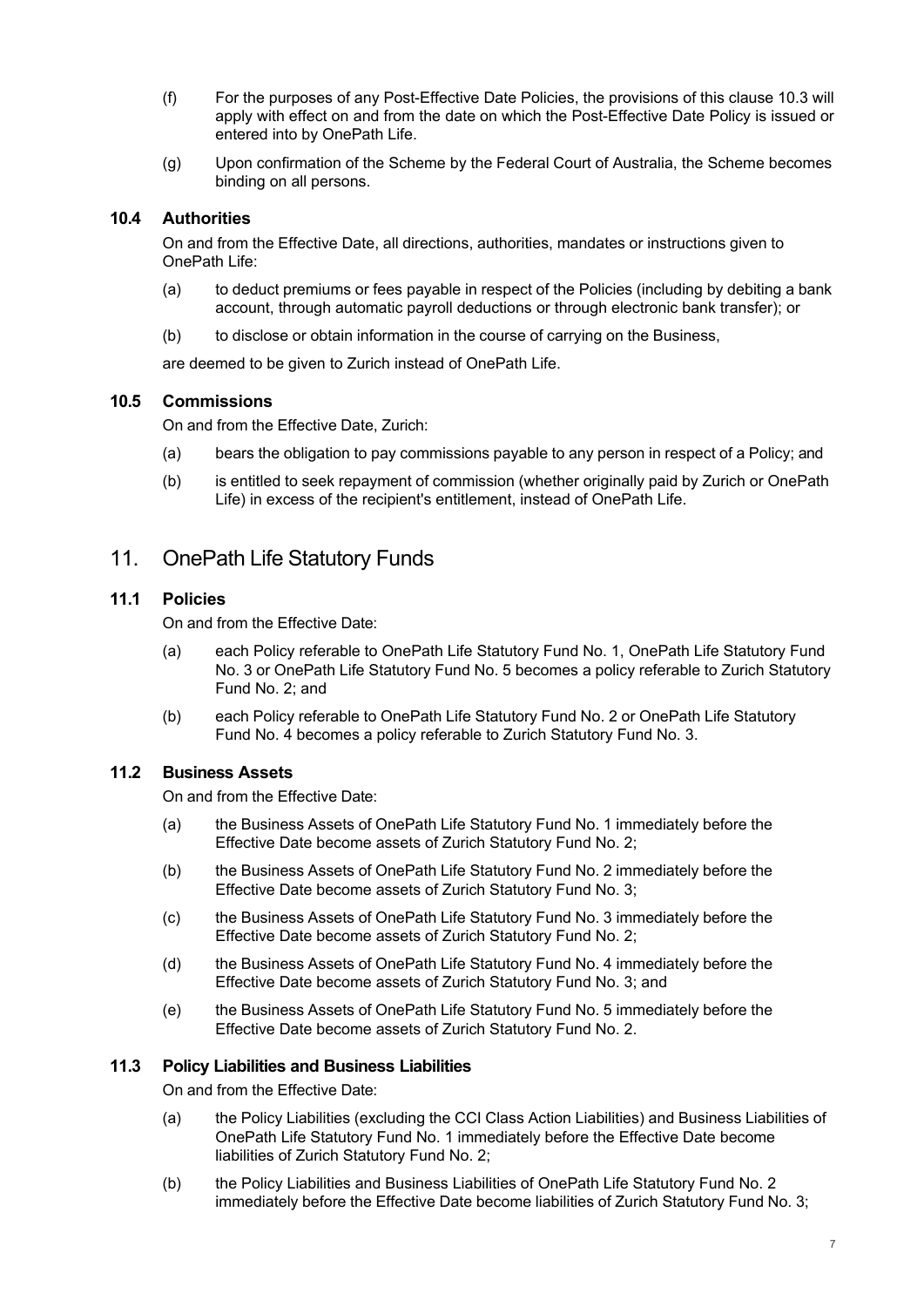- (f) For the purposes of any Post-Effective Date Policies, the provisions of this clause 10.3 will apply with effect on and from the date on which the Post-Effective Date Policy is issued or entered into by OnePath Life.
- (g) Upon confirmation of the Scheme by the Federal Court of Australia, the Scheme becomes binding on all persons.

### **10.4 Authorities**

On and from the Effective Date, all directions, authorities, mandates or instructions given to OnePath Life:

- (a) to deduct premiums or fees payable in respect of the Policies (including by debiting a bank account, through automatic payroll deductions or through electronic bank transfer); or
- (b) to disclose or obtain information in the course of carrying on the Business,

are deemed to be given to Zurich instead of OnePath Life.

#### **10.5 Commissions**

On and from the Effective Date, Zurich:

- (a) bears the obligation to pay commissions payable to any person in respect of a Policy; and
- (b) is entitled to seek repayment of commission (whether originally paid by Zurich or OnePath Life) in excess of the recipient's entitlement, instead of OnePath Life.

# 11. OnePath Life Statutory Funds

#### **11.1 Policies**

On and from the Effective Date:

- (a) each Policy referable to OnePath Life Statutory Fund No. 1, OnePath Life Statutory Fund No. 3 or OnePath Life Statutory Fund No. 5 becomes a policy referable to Zurich Statutory Fund No. 2; and
- (b) each Policy referable to OnePath Life Statutory Fund No. 2 or OnePath Life Statutory Fund No. 4 becomes a policy referable to Zurich Statutory Fund No. 3.

### **11.2 Business Assets**

On and from the Effective Date:

- (a) the Business Assets of OnePath Life Statutory Fund No. 1 immediately before the Effective Date become assets of Zurich Statutory Fund No. 2;
- (b) the Business Assets of OnePath Life Statutory Fund No. 2 immediately before the Effective Date become assets of Zurich Statutory Fund No. 3;
- (c) the Business Assets of OnePath Life Statutory Fund No. 3 immediately before the Effective Date become assets of Zurich Statutory Fund No. 2;
- (d) the Business Assets of OnePath Life Statutory Fund No. 4 immediately before the Effective Date become assets of Zurich Statutory Fund No. 3; and
- (e) the Business Assets of OnePath Life Statutory Fund No. 5 immediately before the Effective Date become assets of Zurich Statutory Fund No. 2.

#### **11.3 Policy Liabilities and Business Liabilities**

On and from the Effective Date:

- (a) the Policy Liabilities (excluding the CCI Class Action Liabilities) and Business Liabilities of OnePath Life Statutory Fund No. 1 immediately before the Effective Date become liabilities of Zurich Statutory Fund No. 2;
- (b) the Policy Liabilities and Business Liabilities of OnePath Life Statutory Fund No. 2 immediately before the Effective Date become liabilities of Zurich Statutory Fund No. 3;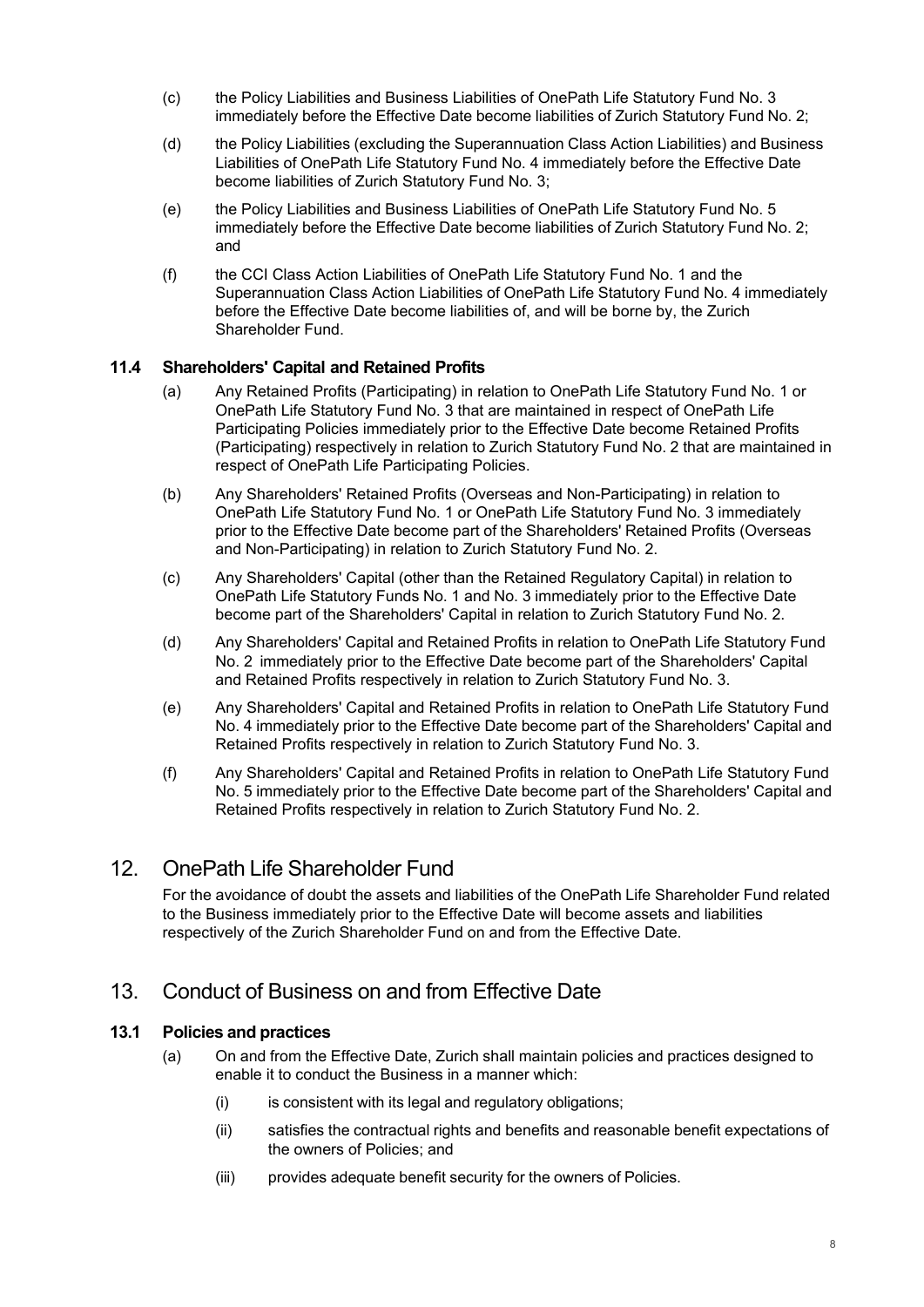- (c) the Policy Liabilities and Business Liabilities of OnePath Life Statutory Fund No. 3 immediately before the Effective Date become liabilities of Zurich Statutory Fund No. 2;
- (d) the Policy Liabilities (excluding the Superannuation Class Action Liabilities) and Business Liabilities of OnePath Life Statutory Fund No. 4 immediately before the Effective Date become liabilities of Zurich Statutory Fund No. 3;
- (e) the Policy Liabilities and Business Liabilities of OnePath Life Statutory Fund No. 5 immediately before the Effective Date become liabilities of Zurich Statutory Fund No. 2; and
- (f) the CCI Class Action Liabilities of OnePath Life Statutory Fund No. 1 and the Superannuation Class Action Liabilities of OnePath Life Statutory Fund No. 4 immediately before the Effective Date become liabilities of, and will be borne by, the Zurich Shareholder Fund.

### **11.4 Shareholders' Capital and Retained Profits**

- (a) Any Retained Profits (Participating) in relation to OnePath Life Statutory Fund No. 1 or OnePath Life Statutory Fund No. 3 that are maintained in respect of OnePath Life Participating Policies immediately prior to the Effective Date become Retained Profits (Participating) respectively in relation to Zurich Statutory Fund No. 2 that are maintained in respect of OnePath Life Participating Policies.
- (b) Any Shareholders' Retained Profits (Overseas and Non-Participating) in relation to OnePath Life Statutory Fund No. 1 or OnePath Life Statutory Fund No. 3 immediately prior to the Effective Date become part of the Shareholders' Retained Profits (Overseas and Non-Participating) in relation to Zurich Statutory Fund No. 2.
- (c) Any Shareholders' Capital (other than the Retained Regulatory Capital) in relation to OnePath Life Statutory Funds No. 1 and No. 3 immediately prior to the Effective Date become part of the Shareholders' Capital in relation to Zurich Statutory Fund No. 2.
- (d) Any Shareholders' Capital and Retained Profits in relation to OnePath Life Statutory Fund No. 2 immediately prior to the Effective Date become part of the Shareholders' Capital and Retained Profits respectively in relation to Zurich Statutory Fund No. 3.
- (e) Any Shareholders' Capital and Retained Profits in relation to OnePath Life Statutory Fund No. 4 immediately prior to the Effective Date become part of the Shareholders' Capital and Retained Profits respectively in relation to Zurich Statutory Fund No. 3.
- (f) Any Shareholders' Capital and Retained Profits in relation to OnePath Life Statutory Fund No. 5 immediately prior to the Effective Date become part of the Shareholders' Capital and Retained Profits respectively in relation to Zurich Statutory Fund No. 2.

### 12. OnePath Life Shareholder Fund

For the avoidance of doubt the assets and liabilities of the OnePath Life Shareholder Fund related to the Business immediately prior to the Effective Date will become assets and liabilities respectively of the Zurich Shareholder Fund on and from the Effective Date.

# 13. Conduct of Business on and from Effective Date

#### **13.1 Policies and practices**

- (a) On and from the Effective Date, Zurich shall maintain policies and practices designed to enable it to conduct the Business in a manner which:
	- $(i)$  is consistent with its legal and regulatory obligations;
	- (ii) satisfies the contractual rights and benefits and reasonable benefit expectations of the owners of Policies; and
	- (iii) provides adequate benefit security for the owners of Policies.